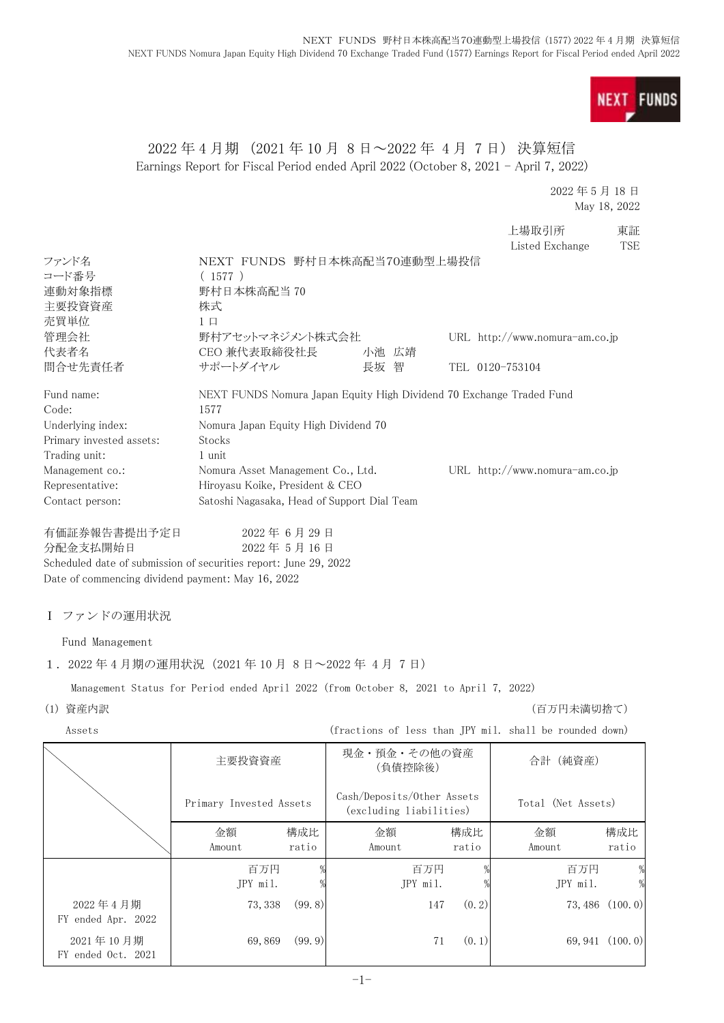**FUNDS NEXT** 

# 2022 年 4 月期 (2021 年 10 月 8 日~2022 年 4 月 7 日) 決算短信 Earnings Report for Fiscal Period ended April 2022 (October 8, 2021 - April 7, 2022)

2022 年 5 月 18 日 May 18, 2022

|                          |                                                                      |       |                 | 上場取引所                            | 東証         |
|--------------------------|----------------------------------------------------------------------|-------|-----------------|----------------------------------|------------|
|                          |                                                                      |       |                 | Listed Exchange                  | <b>TSE</b> |
| ファンド名                    | NEXT FUNDS 野村日本株高配当70連動型上場投信                                         |       |                 |                                  |            |
| コード番号                    | (1577)                                                               |       |                 |                                  |            |
| 連動対象指標                   | 野村日本株高配当 70                                                          |       |                 |                                  |            |
| 主要投資資産                   | 株式                                                                   |       |                 |                                  |            |
| 売買単位                     | $1 \Box$                                                             |       |                 |                                  |            |
| 管理会社                     | 野村アセットマネジメント株式会社                                                     |       |                 | URL $http://www.nomura-am.co.jp$ |            |
| 代表者名                     | CEO 兼代表取締役社長                                                         | 小池 広靖 |                 |                                  |            |
| 問合せ先責任者                  | サポートダイヤル                                                             | 長坂 智  | TEL 0120-753104 |                                  |            |
| Fund name:               | NEXT FUNDS Nomura Japan Equity High Dividend 70 Exchange Traded Fund |       |                 |                                  |            |
| Code:                    | 1577                                                                 |       |                 |                                  |            |
| Underlying index:        | Nomura Japan Equity High Dividend 70                                 |       |                 |                                  |            |
| Primary invested assets: | <b>Stocks</b>                                                        |       |                 |                                  |            |
| Trading unit:            | 1 unit                                                               |       |                 |                                  |            |
| Management co.:          | Nomura Asset Management Co., Ltd.                                    |       |                 | URL $http://www.nomura-am.co.jp$ |            |
| Representative:          | Hiroyasu Koike, President & CEO                                      |       |                 |                                  |            |
| Contact person:          | Satoshi Nagasaka, Head of Support Dial Team                          |       |                 |                                  |            |
| 有価証券報告書提出予定日             | 2022年6月29日                                                           |       |                 |                                  |            |

分配金支払開始日 2022 年 5 月 16 日 Scheduled date of submission of securities report: June 29, 2022 Date of commencing dividend payment: May 16, 2022

### Ⅰ ファンドの運用状況

Fund Management

### 1.2022 年 4 月期の運用状況(2021 年 10 月 8 日~2022 年 4 月 7 日)

Management Status for Period ended April 2022 (from October 8, 2021 to April 7, 2022)

(1) 資産内訳 (百万円未満切捨て)

Assets (fractions of less than JPY mil. shall be rounded down)

|                                 | 主要投資資産                  |              | 現金・預金・その他の資産<br>(負債控除後)                               |              | 合計 (純資産)           |                     |
|---------------------------------|-------------------------|--------------|-------------------------------------------------------|--------------|--------------------|---------------------|
|                                 | Primary Invested Assets |              | Cash/Deposits/Other Assets<br>(excluding liabilities) |              | Total (Net Assets) |                     |
|                                 | 金額<br>Amount            | 構成比<br>ratio | 金額<br>Amount                                          | 構成比<br>ratio | 金額<br>Amount       | 構成比<br>ratio        |
|                                 | 百万円<br>JPY mil.         |              | 百万円<br>JPY mil.                                       |              | 百万円<br>JPY mil.    | %                   |
| 2022年4月期<br>FY ended Apr. 2022  | 73, 338                 | (99, 8)      | 147                                                   | (0, 2)       |                    | $73,486$ $(100, 0)$ |
| 2021年10月期<br>FY ended Oct. 2021 | 69,869                  | (99, 9)      | 71                                                    | (0, 1)       | 69, 941            | (100, 0)            |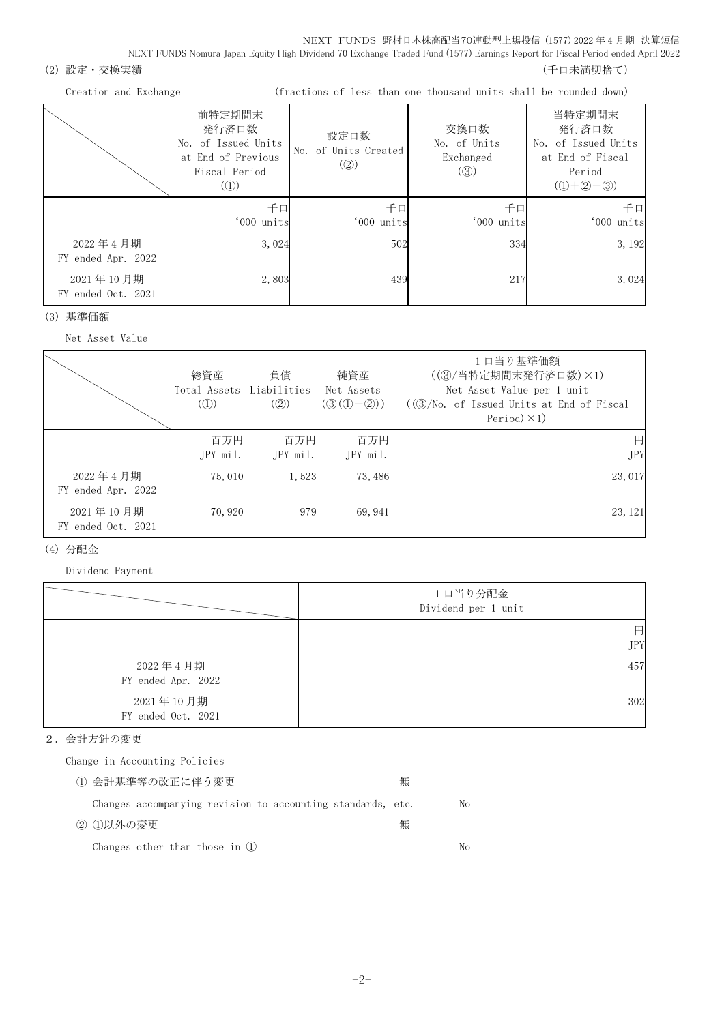- (2) 設定・交換実績 (2) またまま (1) これまでは こころには こうしょう にっぽん (千口未満切捨て)
	- Creation and Exchange (fractions of less than one thousand units shall be rounded down)

|                                 | 前特定期間末<br>発行済口数<br>No. of Issued Units<br>at End of Previous<br>Fiscal Period<br>$\left( $ | 設定口数<br>No. of Units Created<br>$\left( \circled{2} \right)$ | 交換口数<br>No. of Units<br>Exchanged<br>(3) | 当特定期間末<br>発行済口数<br>No. of Issued Units<br>at End of Fiscal<br>Period<br>$(① + ② - ③)$ |
|---------------------------------|--------------------------------------------------------------------------------------------|--------------------------------------------------------------|------------------------------------------|---------------------------------------------------------------------------------------|
|                                 | 千口<br>'000 units                                                                           | 千口<br>'000 units                                             | 千口<br>'000 units                         | 千口<br>'000 units                                                                      |
| 2022年4月期<br>FY ended Apr. 2022  | 3,024                                                                                      | 502                                                          | 334                                      | 3, 192                                                                                |
| 2021年10月期<br>FY ended Oct. 2021 | 2,803                                                                                      | 439                                                          | 217                                      | 3,024                                                                                 |

(3) 基準価額

Net Asset Value

|                                 | 総資産<br>Total Assets<br>$\mathcal{L}(\mathbb{D})$ | 負債<br>Liabilities<br>(②) | 純資産<br>Net Assets<br>$(③(①-②))$ | 1 口当り基準価額<br>((3)/当特定期間末発行済口数)×1)<br>Net Asset Value per 1 unit<br>$((3)/N0$ . of Issued Units at End of Fiscal<br>Period $)\times$ 1) |
|---------------------------------|--------------------------------------------------|--------------------------|---------------------------------|----------------------------------------------------------------------------------------------------------------------------------------|
|                                 | 百万円<br>JPY mil.                                  | 百万円<br>$JPY$ mil.        | 百万円<br>JPY mil.                 | 円<br><b>JPY</b>                                                                                                                        |
| 2022年4月期<br>FY ended Apr. 2022  | 75,010                                           | 1,523                    | 73, 486                         | 23, 017                                                                                                                                |
| 2021年10月期<br>FY ended Oct. 2021 | 70, 920                                          | 979                      | 69, 941                         | 23, 121                                                                                                                                |

### (4) 分配金

Dividend Payment

|                                 | 1口当り分配金<br>Dividend per 1 unit |
|---------------------------------|--------------------------------|
|                                 | 円<br><b>JPY</b>                |
|                                 |                                |
| 2022年4月期<br>FY ended Apr. 2022  | 457                            |
| 2021年10月期<br>FY ended Oct. 2021 | 302                            |

### 2.会計方針の変更

Change in Accounting Policies

| ① 会計基準等の改正に伴う変更                                             | 無 |    |
|-------------------------------------------------------------|---|----|
| Changes accompanying revision to accounting standards, etc. |   | No |
| ② ①以外の変更                                                    | 無 |    |
| Changes other than those in $(l)$                           |   | Nο |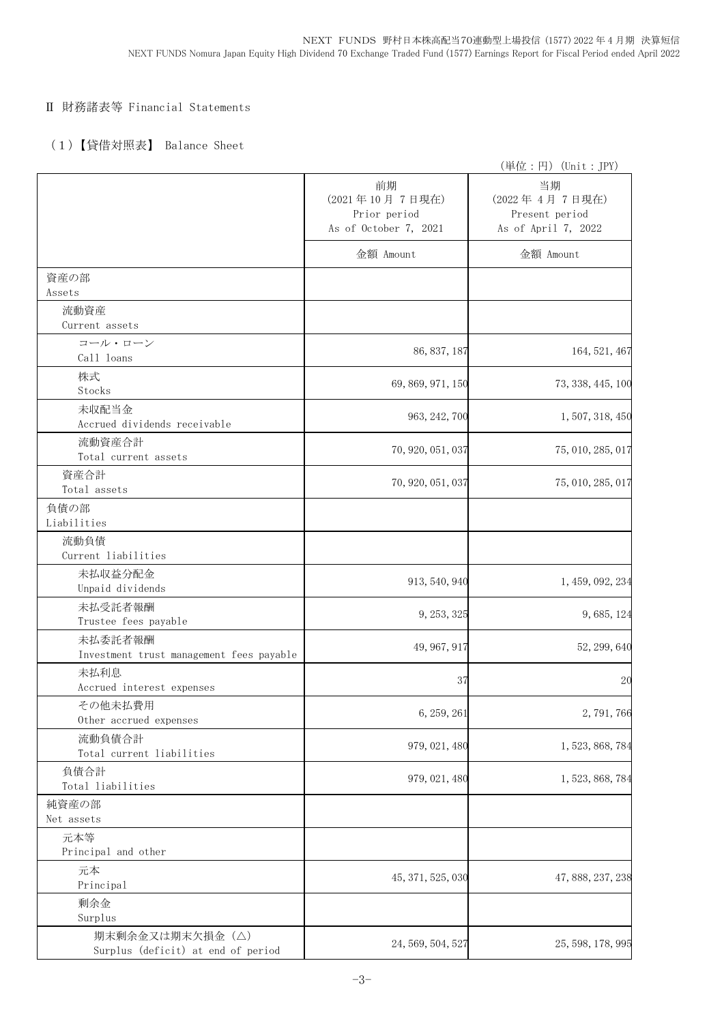## Ⅱ 財務諸表等 Financial Statements

# (1)【貸借対照表】 Balance Sheet

|                                                       |                                                               | (単位:円) (Unit: JPY)                                           |
|-------------------------------------------------------|---------------------------------------------------------------|--------------------------------------------------------------|
|                                                       | 前期<br>(2021年10月7日現在)<br>Prior period<br>As of October 7, 2021 | 当期<br>(2022年4月7日現在)<br>Present period<br>As of April 7, 2022 |
|                                                       | 金額 Amount                                                     | 金額 Amount                                                    |
| 資産の部<br>Assets                                        |                                                               |                                                              |
| 流動資産                                                  |                                                               |                                                              |
| Current assets<br>コール・ローン                             |                                                               |                                                              |
| Call loans                                            | 86, 837, 187                                                  | 164, 521, 467                                                |
| 株式<br>Stocks                                          | 69, 869, 971, 150                                             | 73, 338, 445, 100                                            |
| 未収配当金<br>Accrued dividends receivable                 | 963, 242, 700                                                 | 1, 507, 318, 450                                             |
| 流動資産合計<br>Total current assets                        | 70, 920, 051, 037                                             | 75, 010, 285, 017                                            |
| 資産合計<br>Total assets                                  | 70, 920, 051, 037                                             | 75, 010, 285, 017                                            |
| 負債の部<br>Liabilities                                   |                                                               |                                                              |
| 流動負債<br>Current liabilities                           |                                                               |                                                              |
| 未払収益分配金<br>Unpaid dividends                           | 913, 540, 940                                                 | 1, 459, 092, 234                                             |
| 未払受託者報酬<br>Trustee fees payable                       | 9, 253, 325                                                   | 9, 685, 124                                                  |
| 未払委託者報酬<br>Investment trust management fees payable   | 49, 967, 917                                                  | 52, 299, 640                                                 |
| 未払利息<br>Accrued interest expenses                     | 37                                                            | 20                                                           |
| その他未払費用<br>Other accrued expenses                     | 6, 259, 261                                                   | 2,791,766                                                    |
| 流動負債合計<br>Total current liabilities                   | 979, 021, 480                                                 | 1, 523, 868, 784                                             |
| 負債合計<br>Total liabilities                             | 979, 021, 480                                                 | 1, 523, 868, 784                                             |
| 純資産の部<br>Net assets                                   |                                                               |                                                              |
| 元本等<br>Principal and other                            |                                                               |                                                              |
| 元本<br>Principal                                       | 45, 371, 525, 030                                             | 47, 888, 237, 238                                            |
| 剰余金<br>Surplus                                        |                                                               |                                                              |
| 期末剰余金又は期末欠損金(△)<br>Surplus (deficit) at end of period | 24, 569, 504, 527                                             | 25, 598, 178, 995                                            |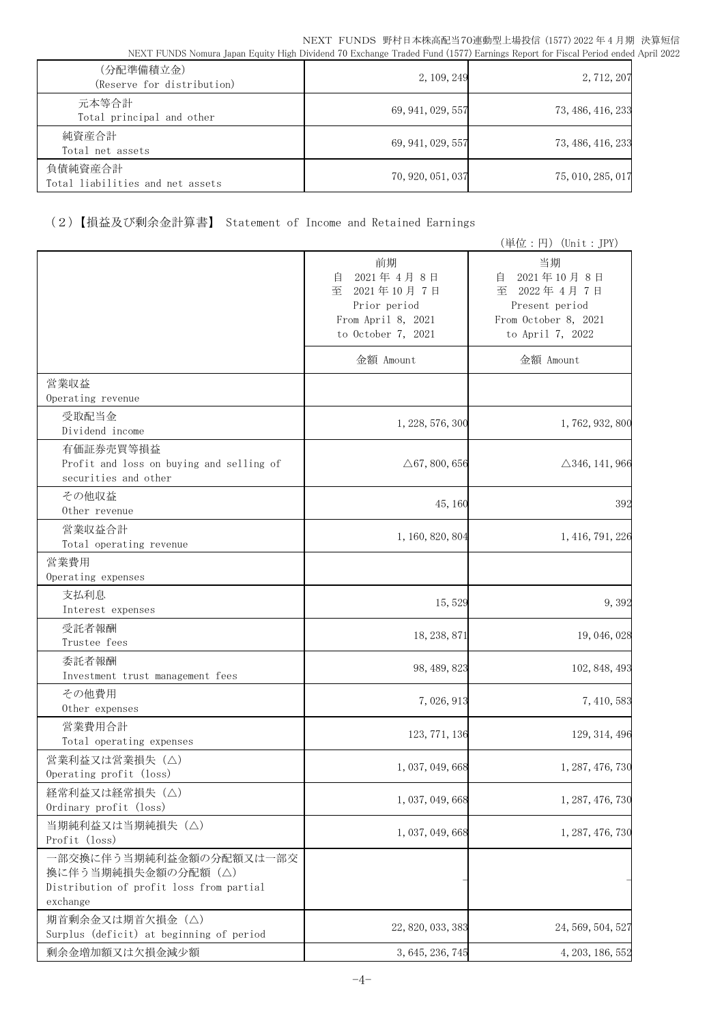| (分配準備積立金)<br>(Reserve for distribution)     | 2, 109, 249       | 2, 712, 207       |
|---------------------------------------------|-------------------|-------------------|
| 元本等合計<br>Total principal and other          | 69, 941, 029, 557 | 73, 486, 416, 233 |
| 純資産合計<br>Total net assets                   | 69, 941, 029, 557 | 73, 486, 416, 233 |
| 負債純資産合計<br>Total liabilities and net assets | 70, 920, 051, 037 | 75, 010, 285, 017 |

# (2)【損益及び剰余金計算書】 Statement of Income and Retained Earnings

|                                                                                                       |                                                                                                     | (単位:円) (Unit:JPY)                                                                                     |
|-------------------------------------------------------------------------------------------------------|-----------------------------------------------------------------------------------------------------|-------------------------------------------------------------------------------------------------------|
|                                                                                                       | 前期<br>2021年4月8日<br>自<br>至<br>2021年10月7日<br>Prior period<br>From April 8, 2021<br>to October 7, 2021 | 当期<br>2021年10月8日<br>自<br>至<br>2022年4月7日<br>Present period<br>From October 8, 2021<br>to April 7, 2022 |
|                                                                                                       | 金額 Amount                                                                                           | 金額 Amount                                                                                             |
| 営業収益<br>Operating revenue                                                                             |                                                                                                     |                                                                                                       |
| 受取配当金<br>Dividend income                                                                              | 1, 228, 576, 300                                                                                    | 1, 762, 932, 800                                                                                      |
| 有価証券売買等損益<br>Profit and loss on buying and selling of<br>securities and other                         | $\triangle 67, 800, 656$                                                                            | $\triangle$ 346, 141, 966                                                                             |
| その他収益<br>Other revenue                                                                                | 45, 160                                                                                             | 392                                                                                                   |
| 営業収益合計<br>Total operating revenue                                                                     | 1, 160, 820, 804                                                                                    | 1, 416, 791, 226                                                                                      |
| 営業費用<br>Operating expenses                                                                            |                                                                                                     |                                                                                                       |
| 支払利息<br>Interest expenses                                                                             | 15,529                                                                                              | 9,392                                                                                                 |
| 受託者報酬<br>Trustee fees                                                                                 | 18, 238, 871                                                                                        | 19, 046, 028                                                                                          |
| 委託者報酬<br>Investment trust management fees                                                             | 98, 489, 823                                                                                        | 102, 848, 493                                                                                         |
| その他費用<br>Other expenses                                                                               | 7,026,913                                                                                           | 7, 410, 583                                                                                           |
| 営業費用合計<br>Total operating expenses                                                                    | 123, 771, 136                                                                                       | 129, 314, 496                                                                                         |
| 営業利益又は営業損失(△)<br>Operating profit (loss)                                                              | 1,037,049,668                                                                                       | 1, 287, 476, 730                                                                                      |
| 経常利益又は経常損失 (△)<br>Ordinary profit (loss)                                                              | 1, 037, 049, 668                                                                                    | 1, 287, 476, 730                                                                                      |
| 当期純利益又は当期純損失 (△)<br>Profit (loss)                                                                     | 1, 037, 049, 668                                                                                    | 1, 287, 476, 730                                                                                      |
| 一部交換に伴う当期純利益金額の分配額又は一部交<br>換に伴う当期純損失金額の分配額(△)<br>Distribution of profit loss from partial<br>exchange |                                                                                                     |                                                                                                       |
| 期首剰余金又は期首欠損金 (△)<br>Surplus (deficit) at beginning of period                                          | 22, 820, 033, 383                                                                                   | 24, 569, 504, 527                                                                                     |
| 剰余金増加額又は欠損金減少額                                                                                        | 3, 645, 236, 745                                                                                    | 4, 203, 186, 552                                                                                      |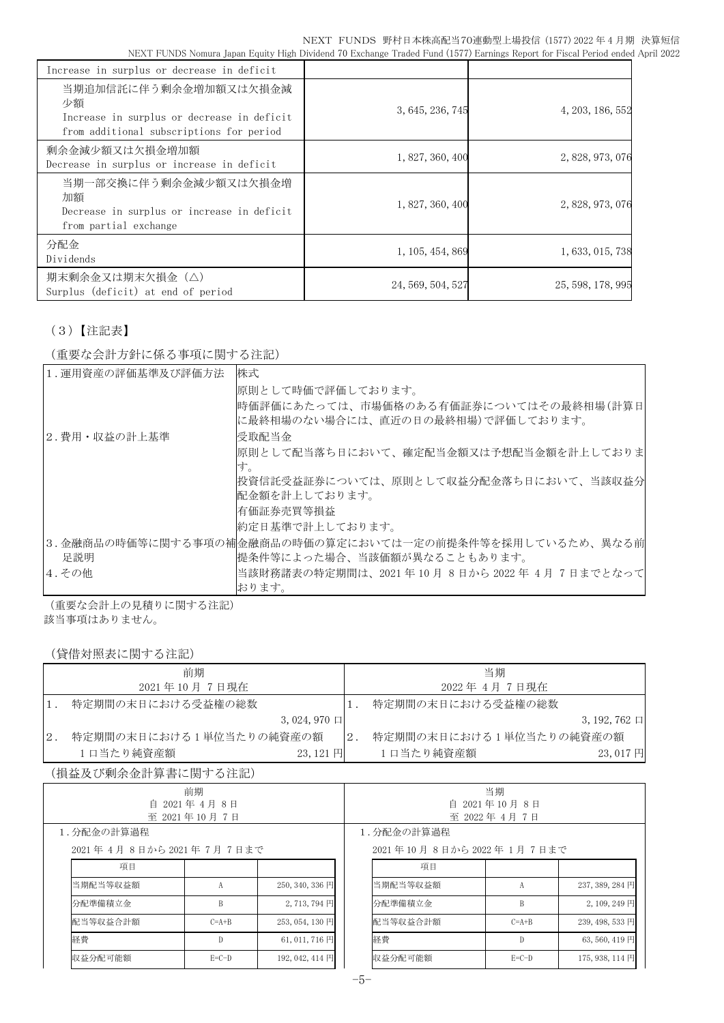| Increase in surplus or decrease in deficit                                                                            |                   |                   |
|-----------------------------------------------------------------------------------------------------------------------|-------------------|-------------------|
| 当期追加信託に伴う剰余金増加額又は欠損金減<br>少額<br>Increase in surplus or decrease in deficit<br>from additional subscriptions for period | 3, 645, 236, 745  | 4, 203, 186, 552  |
| 剰余金減少額又は欠損金増加額<br>Decrease in surplus or increase in deficit                                                          | 1, 827, 360, 400  | 2, 828, 973, 076  |
| 当期一部交換に伴う剰余金減少額又は欠損金増<br>加額<br>Decrease in surplus or increase in deficit<br>from partial exchange                    | 1, 827, 360, 400  | 2, 828, 973, 076  |
| 分配金<br>Dividends                                                                                                      | 1, 105, 454, 869  | 1, 633, 015, 738  |
| 期末剰余金又は期末欠損金(△)<br>Surplus (deficit) at end of period                                                                 | 24, 569, 504, 527 | 25, 598, 178, 995 |

# (3)【注記表】

(重要な会計方針に係る事項に関する注記)

| 1. 運用資産の評価基準及び評価方法 | 株式                                                      |
|--------------------|---------------------------------------------------------|
|                    | 原則として時価で評価しております。                                       |
|                    | 時価評価にあたっては、市場価格のある有価証券についてはその最終相場(計算日                   |
|                    | に最終相場のない場合には、直近の日の最終相場)で評価しております。                       |
| 2.費用・収益の計上基準       | 受取配当金                                                   |
|                    | 原則として配当落ち日において、確定配当金額又は予想配当金額を計上しておりま                   |
|                    | す。                                                      |
|                    | 投資信託受益証券については、原則として収益分配金落ち日において、当該収益分                   |
|                    | 配金額を計上しております。                                           |
|                    | 有価証券売買等損益                                               |
|                    | 約定日基準で計上しております。                                         |
|                    | 3.金融商品の時価等に関する事項の補金融商品の時価の算定においては一定の前提条件等を採用しているため、異なる前 |
| 足説明                | 提条件等によった場合、当該価額が異なることもあります。                             |
| 4.その他              | 当該財務諸表の特定期間は、2021年10月 8日から 2022年 4月 7日までとなって            |
|                    | おります。                                                   |

(重要な会計上の見積りに関する注記) 該当事項はありません。

(貸借対照表に関する注記)

| \貝旧刈ぶ公に因 フ ツ山叫ノ                  |              |                    |                 |                         |              |                 |
|----------------------------------|--------------|--------------------|-----------------|-------------------------|--------------|-----------------|
| 前期                               |              |                    |                 |                         | 当期           |                 |
|                                  | 2021年10月7日現在 |                    |                 |                         | 2022年4月7日現在  |                 |
| 特定期間の末日における受益権の総数<br>$1$ .       |              |                    | $1$ .           | 特定期間の末日における受益権の総数       |              |                 |
|                                  |              | $3,024,970$ $\Box$ |                 |                         |              | 3, 192, 762 口   |
| 特定期間の末日における1単位当たりの純資産の額<br>$2$ . |              |                    | $2$ .           | 特定期間の末日における1単位当たりの純資産の額 |              |                 |
| 1口当たり純資産額                        |              | 23,121円            |                 | 1口当たり純資産額               |              | 23,017円         |
| (損益及び剰余金計算書に関する注記)               |              |                    |                 |                         |              |                 |
|                                  | 前期           |                    |                 |                         | 当期           |                 |
| 自                                | 2021年4月8日    |                    | 2021年10月8日<br>自 |                         |              |                 |
| 至 2021年10月7日                     |              |                    | 至 2022年4月7日     |                         |              |                 |
| 1.分配金の計算過程                       |              |                    |                 | 1. 分配金の計算過程             |              |                 |
| 2021年4月8日から2021年7月7日まで           |              |                    |                 | 2021年10月8日から2022年1月7日まで |              |                 |
| 項目                               |              |                    |                 | 項目                      |              |                 |
| 当期配当等収益額                         | A            | 250, 340, 336 円    |                 | 当期配当等収益額                | A            | 237, 389, 284 円 |
| 分配準備積立金                          | B            | 2,713,794円         |                 | 分配準備積立金                 | B            | 2,109,249円      |
| 配当等収益合計額                         | $C=A+B$      | 253, 054, 130 円    |                 | 配当等収益合計額                | $C=A+B$      | 239, 498, 533 円 |
| 経費                               | D            | 61, 011, 716 円     |                 | 経費                      | $\mathbb{D}$ | 63,560,419円     |
| 収益分配可能額                          | $E=C-D$      | 192, 042, 414 円    |                 | 収益分配可能額                 | $E=C-D$      | 175, 938, 114 円 |
|                                  |              |                    |                 |                         |              |                 |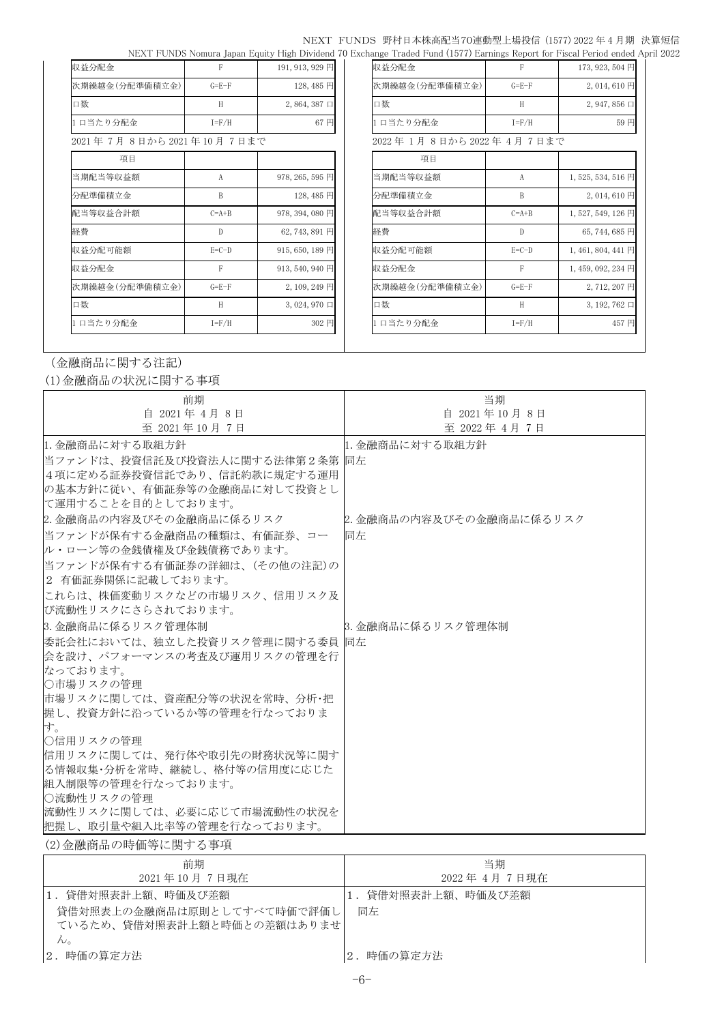#### NEXT FUNDS 野村日本株高配当70連動型上場投信 (1577) 2022 年 4 月期 決算短信 NEXT FUNDS Nomura Japan Equity High Dividend 70 Exchange Traded Fund (1577) Earnings Report for Fiscal Period ended April 2022

| F           |                     | 収益分配金                                                                            | F           | 173, 923, 504 円        |
|-------------|---------------------|----------------------------------------------------------------------------------|-------------|------------------------|
| $G = E - F$ | 128,485円            | 次期繰越金(分配準備積立金)                                                                   | $G = E - F$ | 2,014,610円             |
| H           | $2,864,387 \square$ | 口数                                                                               | H           | $2, 947, 856 \square$  |
| $I = F/H$   | 67円                 | 1口当たり分配金                                                                         | $I = F/H$   | 59円                    |
|             |                     |                                                                                  |             |                        |
|             |                     | 項目                                                                               |             |                        |
| A           |                     | 当期配当等収益額                                                                         | A           | 1,525,534,516円         |
| B           | 128,485円            | 分配準備積立金                                                                          | B           | 2,014,610円             |
| $C=A+B$     |                     | 配当等収益合計額                                                                         | $C=A+B$     | 1,527,549,126円         |
| D           | 62, 743, 891 円      | 経費                                                                               | D           | 65, 744, 685 円         |
| $E=C-D$     | 915, 650, 189 円     | 収益分配可能額                                                                          | $E=C-D$     | 1,461,804,441円         |
| F           | 913, 540, 940 円     | 収益分配金                                                                            | F           | 1,459,092,234円         |
| $G = E - F$ | 2,109,249円          | 次期繰越金(分配準備積立金)                                                                   | $G = E - F$ | 2,712,207円             |
| H           | $3,024,970 \Box$    | 口数                                                                               | H           | $3, 192, 762 \Box$     |
| $I = F/H$   | 302 円               | 口当たり分配金                                                                          | $I = F/H$   | 457円                   |
|             |                     | 191, 913, 929 円<br>2021年7月8日から2021年10月7日まで<br>978, 265, 595 円<br>978, 394, 080 円 |             | 2022年1月8日から2022年4月7日まで |

| 収益分配金                         | F           | 173, 923, 504 円                |
|-------------------------------|-------------|--------------------------------|
| 次期繰越金(分配準備積立金)                | $G = E - F$ | $2,014,610$ 円                  |
| 口数                            | H           | $2,947,856 \square$            |
| 1日当たり分配金                      | $I = F/H$   | 59 円                           |
| 2022 年 1月 8日から 2022 年 4月 7日まで |             |                                |
| 項目                            |             |                                |
| 当期配当等収益額                      | A           | 1,525,534,516円                 |
| 分配準備積立金                       | B           | 2,014,610円                     |
| 配当等収益合計額                      | $C = A + B$ | 1,527,549,126円                 |
| 経費                            | D           | 65, 744, 685 円                 |
| 収益分配可能額                       | $E=C-D$     | 1, 461, 804, 441 円             |
| 収益分配金                         | F           | 1, 459, 092, 234 円             |
| 次期繰越金(分配準備積立金)                | $G = E - F$ | $2,712,207 \text{ }\mathbb{H}$ |
| 口数                            | Н           | $3, 192, 762 \Box$             |
| 1口当たり分配金                      | $I = F/H$   | 457 円                          |

## (金融商品に関する注記)

(1)金融商品の状況に関する事項

| 前期                                                                                                                                    | 当期                             |
|---------------------------------------------------------------------------------------------------------------------------------------|--------------------------------|
| 自 2021年 4月 8日                                                                                                                         | 自 2021年10月8日                   |
| 至 2021年10月7日                                                                                                                          | 至 2022年 4月 7日                  |
| 1. 金融商品に対する取組方針                                                                                                                       | 1. 金融商品に対する取組方針                |
| 当ファンドは、投資信託及び投資法人に関する法律第2条第  同左<br> 4項に定める証券投資信託であり、信託約款に規定する運用<br> の基本方針に従い、有価証券等の金融商品に対して投資とし<br>で運用することを目的としております。                 |                                |
| 2. 金融商品の内容及びその金融商品に係るリスク<br> 当ファンドが保有する金融商品の種類は、有価証券、コー                                                                               | 2. 金融商品の内容及びその金融商品に係るリスク<br>同左 |
| ル・ローン等の金銭債権及び金銭債務であります。<br> 当ファンドが保有する有価証券の詳細は、(その他の注記)の<br>2 有価証券関係に記載しております。<br> これらは、株価変動リスクなどの市場リスク、信用リスク及<br> び流動性リスクにさらされております。 |                                |
| 8. 金融商品に係るリスク管理体制                                                                                                                     | 3. 金融商品に係るリスク管理体制              |
| 委託会社においては、独立した投資リスク管理に関する委員   同左<br> 会を設け、パフォーマンスの考査及び運用リスクの管理を行<br>なっております。<br>○市場リスクの管理                                             |                                |
| 市場リスクに関しては、資産配分等の状況を常時、分析・把<br> 握し、投資方針に沿っているか等の管理を行なっておりま<br>す。<br>○信用リスクの管理                                                         |                                |
| 信用リスクに関しては、発行体や取引先の財務状況等に関す<br> る情報収集・分析を常時、継続し、格付等の信用度に応じた <br> 組入制限等の管理を行なっております。<br>○流動性リスクの管理<br> 流動性リスクに関しては、必要に応じて市場流動性の状況を     |                                |
| 把握し、取引量や組入比率等の管理を行なっております。                                                                                                            |                                |

### (2)金融商品の時価等に関する事項

| 前期                         | 灵鞘                 |
|----------------------------|--------------------|
| 2021年10月7日現在               | 2022年4月7日現在        |
| 1. 貸借対照表計上額、時価及び差額         | 1. 貸借対照表計上額、時価及び差額 |
| 貸借対照表上の金融商品は原則としてすべて時価で評価し | 同左                 |
| ているため、貸借対照表計上額と時価との差額はありませ |                    |
| $\mathcal{W}_\circ$        |                    |
| 2. 時価の算定方法                 | 時価の算定方法<br>2.      |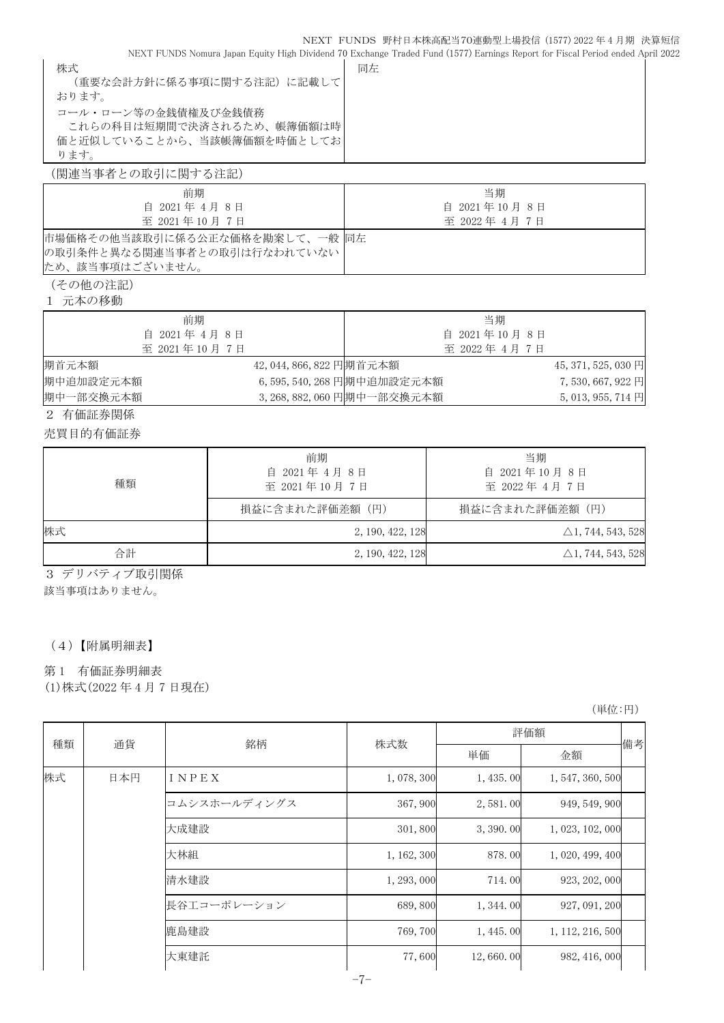### NEXT FUNDS 野村日本株高配当70連動型上場投信 (1577) 2022 年 4 月期 決算短信

NEXT FUNDS Nomura Japan Equity High Dividend 70 Exchange Traded Fund (1577) Earnings Report for Fiscal Period ended April 2022

| 株式                         | 同左 |
|----------------------------|----|
| (重要な会計方針に係る事項に関する注記) に記載して |    |
| おります。                      |    |
| コール・ローン等の金銭債権及び金銭債務        |    |
| これらの科目は短期間で決済されるため、帳簿価額は時  |    |
| 価と近似していることから、当該帳簿価額を時価としてお |    |
| ります。                       |    |
|                            |    |

(関連当事者との取引に関する注記)

| 前期                                                                                 | 当期            |
|------------------------------------------------------------------------------------|---------------|
| 自 2021年 4月 8日                                                                      | 自 2021年10月8日  |
| 至 2021年10月7日                                                                       | 至 2022年 4月 7日 |
| 市場価格その他当該取引に係る公正な価格を勘案して、一般 同左<br>の取引条件と異なる関連当事者との取引は行なわれていない  <br>ため、該当事項はございません。 |               |
|                                                                                    |               |

(その他の注記)

1 元本の移動

| 前期            |                       |                             | 当期            |                     |
|---------------|-----------------------|-----------------------------|---------------|---------------------|
| 自 2021年 4月 8日 |                       |                             | 自 2021年10月8日  |                     |
| 至 2021年10月7日  |                       |                             | 至 2022年 4月 7日 |                     |
| 期首元本額         | 42,044,866,822 円期首元本額 |                             |               | 45, 371, 525, 030 円 |
| 期中追加設定元本額     |                       | 6,595,540,268 円期中追加設定元本額    |               | 7,530,667,922 円     |
| 期中一部交換元本額     |                       | 3, 268, 882, 060 円期中一部交換元本額 |               | $5,013,955,714$ 円   |

2 有価証券関係

売買目的有価証券

| 種類 | 前期<br>自 2021年 4月 8日<br>至 2021年10月7日 | 当期<br>自 2021年10月8日<br>至 2022年4月7日 |  |
|----|-------------------------------------|-----------------------------------|--|
|    | 損益に含まれた評価差額(円)                      | 損益に含まれた評価差額(円)                    |  |
| 株式 | 2, 190, 422, 128                    | $\triangle$ 1, 744, 543, 528      |  |
| 合計 | 2, 190, 422, 128                    | $\triangle$ 1, 744, 543, 528      |  |

3 デリバティブ取引関係

該当事項はありません。

(4)【附属明細表】

#### 第 1 有価証券明細表

(1)株式(2022 年 4 月 7 日現在)

(単位:円)

| 種類<br>通貨 | 銘柄          | 株式数          | 評価額        |                  |                  |    |
|----------|-------------|--------------|------------|------------------|------------------|----|
|          |             |              |            | 単価               | 金額               | 備考 |
| 株式       | 日本円         | INPEX        | 1,078,300  | 1, 435.00        | 1, 547, 360, 500 |    |
|          |             | コムシスホールディングス | 367,900    | 2,581.00         | 949, 549, 900    |    |
|          | 大成建設        | 301,800      | 3, 390, 00 | 1, 023, 102, 000 |                  |    |
|          | 大林組         | 1, 162, 300  | 878.00     | 1,020,499,400    |                  |    |
|          | 清水建設        | 1, 293, 000  | 714.00     | 923, 202, 000    |                  |    |
|          | 長谷工コーポレーション | 689,800      | 1, 344.00  | 927, 091, 200    |                  |    |
|          | 鹿島建設        | 769,700      | 1, 445.00  | 1, 112, 216, 500 |                  |    |
|          |             | 大東建託         | 77,600     | 12,660.00        | 982, 416, 000    |    |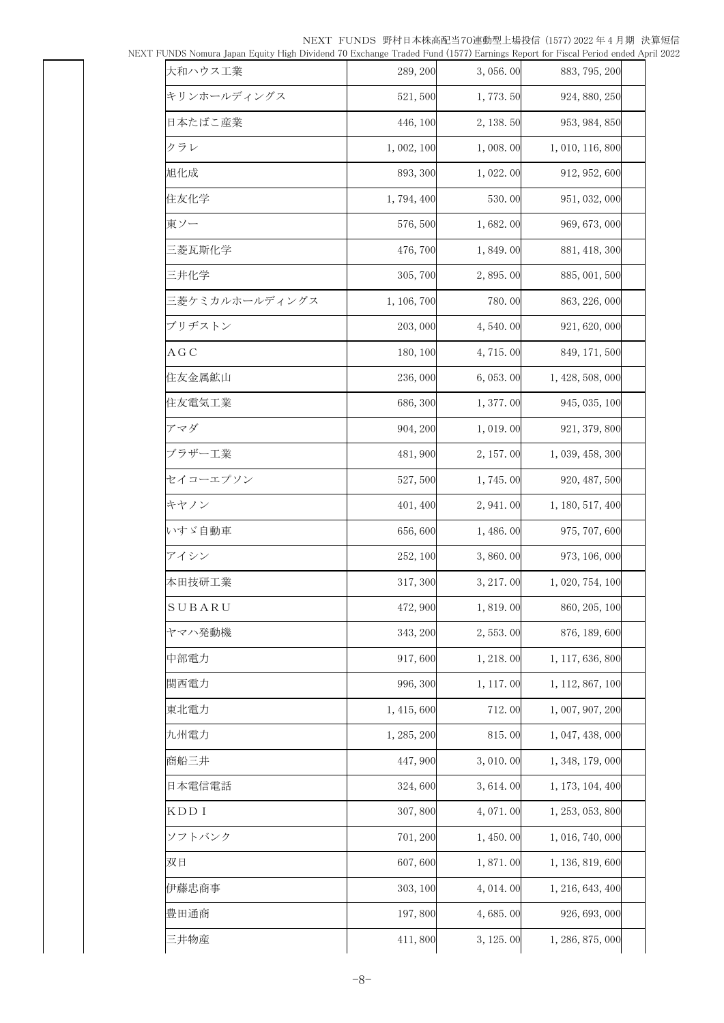NEXT FUNDS 野村日本株高配当70連動型上場投信 (1577) 2022 年 4 月期 決算短信<br>Dividend 70 Exchange Traded Fund (1577) Earnings Report for Fiscal Period ended April 2022

| NEXT FUNDS Nomura Japan Equity High Dividend 70 Exchange Traded Fund (1577) Earnings Report for Fiscal Period ended April 2022 |  |  |
|--------------------------------------------------------------------------------------------------------------------------------|--|--|
|                                                                                                                                |  |  |

| rvivids isomura Japan equity riigh Dividend to Exchange Traded Pund (1977) Earnings Report for Fiscal Period ended Apr |             |            |                  |
|------------------------------------------------------------------------------------------------------------------------|-------------|------------|------------------|
| 大和ハウス工業                                                                                                                | 289, 200    | 3,056.00   | 883, 795, 200    |
| キリンホールディングス                                                                                                            | 521,500     | 1,773.50   | 924, 880, 250    |
| 日本たばこ産業                                                                                                                | 446, 100    | 2, 138. 50 | 953, 984, 850    |
| クラレ                                                                                                                    | 1,002,100   | 1,008.00   | 1, 010, 116, 800 |
| 旭化成                                                                                                                    | 893, 300    | 1,022.00   | 912, 952, 600    |
| 住友化学                                                                                                                   | 1,794,400   | 530.00     | 951, 032, 000    |
| 東ソー                                                                                                                    | 576, 500    | 1,682.00   | 969, 673, 000    |
| 三菱瓦斯化学                                                                                                                 | 476,700     | 1,849.00   | 881, 418, 300    |
| 三井化学                                                                                                                   | 305,700     | 2,895.00   | 885, 001, 500    |
| 三菱ケミカルホールディングス                                                                                                         | 1, 106, 700 | 780.00     | 863, 226, 000    |
| ブリヂストン                                                                                                                 | 203,000     | 4,540.00   | 921, 620, 000    |
| A G C                                                                                                                  | 180, 100    | 4,715.00   | 849, 171, 500    |
| 住友金属鉱山                                                                                                                 | 236,000     | 6,053,00   | 1, 428, 508, 000 |
| 住友電気工業                                                                                                                 | 686, 300    | 1, 377.00  | 945, 035, 100    |
| アマダ                                                                                                                    | 904, 200    | 1,019.00   | 921, 379, 800    |
| ブラザー工業                                                                                                                 | 481,900     | 2, 157.00  | 1, 039, 458, 300 |
| セイコーエプソン                                                                                                               | 527, 500    | 1,745.00   | 920, 487, 500    |
| キヤノン                                                                                                                   | 401, 400    | 2, 941.00  | 1, 180, 517, 400 |
| いすゞ自動車                                                                                                                 | 656,600     | 1,486.00   | 975, 707, 600    |
| アイシン                                                                                                                   | 252, 100    | 3,860.00   | 973, 106, 000    |
| 本田技研工業                                                                                                                 | 317, 300    | 3, 217.00  | 1, 020, 754, 100 |
| SUBARU                                                                                                                 | 472,900     | 1,819.00   | 860, 205, 100    |
| ヤマハ発動機                                                                                                                 | 343, 200    | 2,553.00   | 876, 189, 600    |
| 中部電力                                                                                                                   | 917,600     | 1, 218.00  | 1, 117, 636, 800 |
| 関西電力                                                                                                                   | 996, 300    | 1, 117.00  | 1, 112, 867, 100 |
| 東北電力                                                                                                                   | 1, 415, 600 | 712.00     | 1, 007, 907, 200 |
| 九州電力                                                                                                                   | 1, 285, 200 | 815.00     | 1, 047, 438, 000 |
| 商船三井                                                                                                                   | 447,900     | 3,010.00   | 1, 348, 179, 000 |
| 日本電信電話                                                                                                                 | 324,600     | 3,614.00   | 1, 173, 104, 400 |
| KDD I                                                                                                                  | 307,800     | 4,071.00   | 1, 253, 053, 800 |
| ソフトバンク                                                                                                                 | 701, 200    | 1, 450.00  | 1, 016, 740, 000 |
| 双日                                                                                                                     | 607,600     | 1,871.00   | 1, 136, 819, 600 |
| 伊藤忠商事                                                                                                                  | 303, 100    | 4, 014. 00 | 1, 216, 643, 400 |
| 豊田通商                                                                                                                   | 197,800     | 4,685.00   | 926, 693, 000    |
| 三井物産                                                                                                                   | 411,800     | 3, 125.00  | 1, 286, 875, 000 |
|                                                                                                                        |             |            |                  |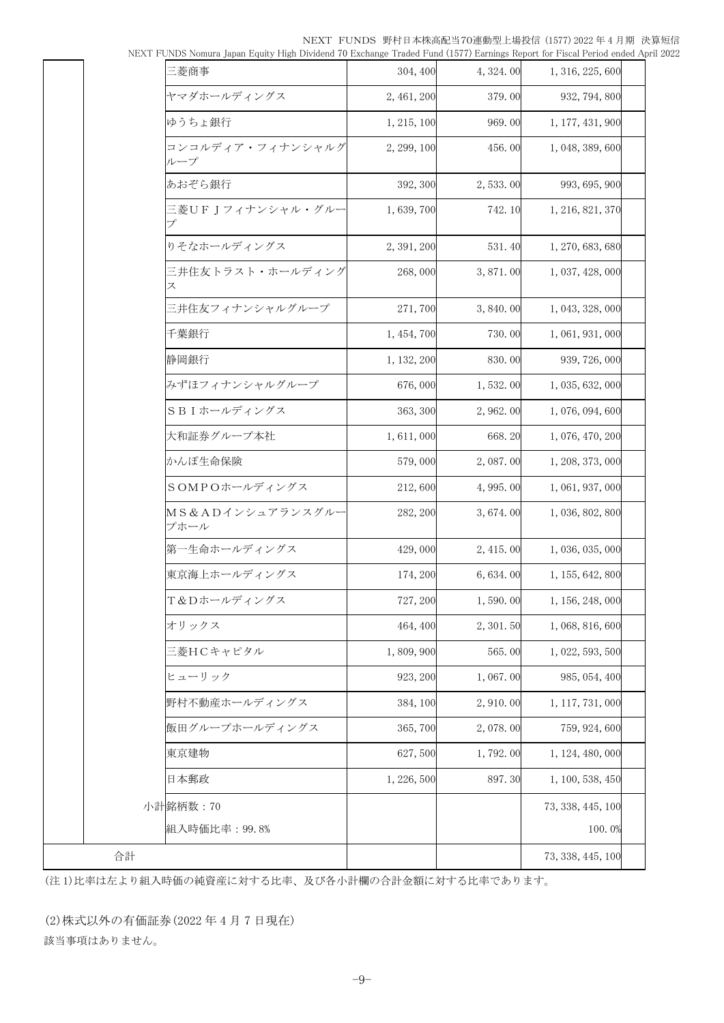NEXT FUNDS 野村日本株高配当70連動型上場投信 (1577) 2022 年 4 月期 決算短信

| 三菱商事                     | 304, 400    | 4,324.00  | 1, 316, 225, 600  |  |
|--------------------------|-------------|-----------|-------------------|--|
| ヤマダホールディングス              | 2, 461, 200 | 379.00    | 932, 794, 800     |  |
| ゆうちょ銀行                   | 1, 215, 100 | 969.00    | 1, 177, 431, 900  |  |
| コンコルディア・フィナンシャルク<br>ループ  | 2, 299, 100 | 456.00    | 1, 048, 389, 600  |  |
| あおぞら銀行                   | 392, 300    | 2,533.00  | 993, 695, 900     |  |
| 三菱UFJフィナンシャル・グルー<br>プ    | 1,639,700   | 742.10    | 1, 216, 821, 370  |  |
| りそなホールディングス              | 2, 391, 200 | 531.40    | 1, 270, 683, 680  |  |
| 三井住友トラスト・ホールディンク<br>ス    | 268,000     | 3,871.00  | 1, 037, 428, 000  |  |
| 三井住友フィナンシャルグループ          | 271,700     | 3,840.00  | 1, 043, 328, 000  |  |
| 千葉銀行                     | 1, 454, 700 | 730.00    | 1, 061, 931, 000  |  |
| 静岡銀行                     | 1, 132, 200 | 830.00    | 939, 726, 000     |  |
| みずほフィナンシャルグループ           | 676,000     | 1,532.00  | 1, 035, 632, 000  |  |
| SBIホールディングス              | 363, 300    | 2,962.00  | 1,076,094,600     |  |
| 大和証券グループ本社               | 1,611,000   | 668.20    | 1, 076, 470, 200  |  |
| かんぽ生命保険                  | 579,000     | 2,087.00  | 1, 208, 373, 000  |  |
| SOMPOホールディングス            | 212,600     | 4, 995.00 | 1, 061, 937, 000  |  |
| MS&ADインシュアランスグルー<br>プホール | 282, 200    | 3,674.00  | 1, 036, 802, 800  |  |
| 第一生命ホールディングス             | 429,000     | 2, 415.00 | 1, 036, 035, 000  |  |
| 東京海上ホールディングス             | 174, 200    | 6,634.00  | 1, 155, 642, 800  |  |
| T&Dホールディングス              | 727, 200    | 1,590.00  | 1, 156, 248, 000  |  |
| オリックス                    | 464, 400    | 2, 301.50 | 1, 068, 816, 600  |  |
| 三菱HCキャピタル                | 1,809,900   | 565.00    | 1, 022, 593, 500  |  |
| ヒューリック                   | 923, 200    | 1,067.00  | 985, 054, 400     |  |
| 野村不動産ホールディングス            | 384, 100    | 2,910.00  | 1, 117, 731, 000  |  |
| 飯田グループホールディングス           | 365,700     | 2,078.00  | 759, 924, 600     |  |
| 東京建物                     | 627,500     | 1,792.00  | 1, 124, 480, 000  |  |
| 日本郵政                     | 1, 226, 500 | 897.30    | 1, 100, 538, 450  |  |
| 小計銘柄数:70                 |             |           | 73, 338, 445, 100 |  |
| 組入時価比率: 99.8%            |             |           | 100.0%            |  |
|                          |             |           | 73, 338, 445, 100 |  |

NEXT FUNDS Nomura Japan Equity High Dividend 70 Exchange Traded Fund (1577) Earnings Report for Fiscal Period ended April 2022

(注 1)比率は左より組入時価の純資産に対する比率、及び各小計欄の合計金額に対する比率であります。

(2)株式以外の有価証券(2022 年 4 月 7 日現在) 該当事項はありません。